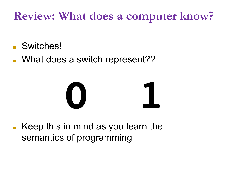#### **Review: What does a computer know?**

- Switches!
- What does a switch represent??



■ Keep this in mind as you learn the semantics of programming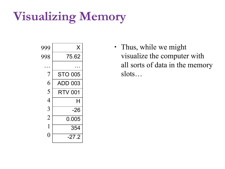### **Visualizing Memory**



∙ Thus, while we might visualize the computer with all sorts of data in the memory slots…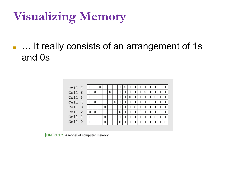### **Visualizing Memory**

#### **• ... It really consists of an arrangement of 1s** and 0s

| Cell<br>- 7            |   |   | Ü            |   |   |   |   | 0 |   |   |   |   |   | 1 | 0 | 1 |
|------------------------|---|---|--------------|---|---|---|---|---|---|---|---|---|---|---|---|---|
| Cell<br>6              | 1 | 0 | $\mathbf{1}$ | 1 | 0 |   |   |   |   | 1 |   | 0 | 1 | 1 |   | 1 |
| Cell<br>- 5            | 1 |   |              |   |   |   |   |   | 0 | 1 |   |   |   | 0 |   |   |
| Cell<br>$\overline{4}$ | 1 | 0 | 1            | 1 | 1 | 0 |   |   |   | 1 |   |   | 0 | 1 |   | 1 |
| Cell<br>- 3            | 1 |   | 1            | 0 | 1 | 1 |   | 1 | 1 | 0 | 1 |   | 1 | 1 | 1 | 1 |
| Cell<br>-2             | 0 |   | $\mathbf{1}$ | 1 |   | 1 | 0 | 1 |   | 1 | 0 | 1 | 1 | 1 | 0 | 1 |
| Cell<br>$\overline{1}$ | 1 |   | 1            | 0 | 1 |   |   | 1 |   | 1 |   |   | 1 | 0 | 1 | 1 |
| Cell<br>$\Omega$       | 1 |   | 1            | 0 | 1 | 1 | 0 | 1 |   | 1 |   |   | 1 | 1 |   | O |
|                        |   |   |              |   |   |   |   |   |   |   |   |   |   |   |   |   |

**[FIGURE 1.2]** A model of computer memory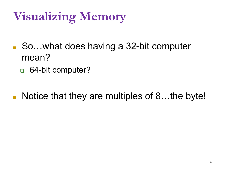# **Visualizing Memory**

- So…what does having a 32-bit computer mean?
	- ❑ 64-bit computer?
- Notice that they are multiples of 8...the byte!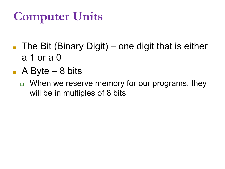# **Computer Units**

- **The Bit (Binary Digit)** one digit that is either a 1 or a 0
- $\blacksquare$  A Byte 8 bits
	- ❑ When we reserve memory for our programs, they will be in multiples of 8 bits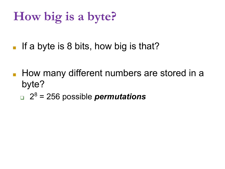### **How big is a byte?**

**If a byte is 8 bits, how big is that?** 

- How many different numbers are stored in a byte?
	- ❑ 2 8 = 256 possible *permutations*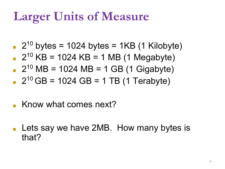## **Larger Units of Measure**

- $\blacksquare$  2<sup>10</sup> bytes = 1024 bytes = 1KB (1 Kilobyte)
- $\text{P}$  2<sup>10</sup> KB = 1024 KB = 1 MB (1 Megabyte)
- $\blacksquare$  2<sup>10</sup> MB = 1024 MB = 1 GB (1 Gigabyte)  $2^{10}$  GB = 1024 GB = 1 TB (1 Terabyte)
- Know what comes next?
- Lets say we have 2MB. How many bytes is that?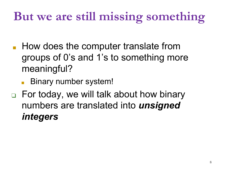## **But we are still missing something**

■ How does the computer translate from groups of 0's and 1's to something more meaningful?

Binary number system!

❑ For today, we will talk about how binary numbers are translated into *unsigned integers*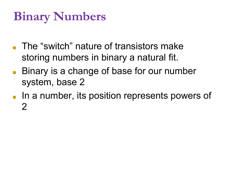## **Binary Numbers**

- The "switch" nature of transistors make storing numbers in binary a natural fit.
- Binary is a change of base for our number system, base 2
- In a number, its position represents powers of  $\mathcal{P}$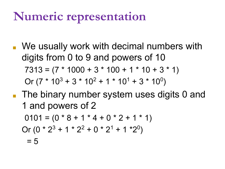### **Numeric representation**

- We usually work with decimal numbers with digits from 0 to 9 and powers of 10  $7313 = (7 * 1000 + 3 * 100 + 1 * 10 + 3 * 1)$ Or  $(7 * 10^3 + 3 * 10^2 + 1 * 10^1 + 3 * 10^0)$
- The binary number system uses digits 0 and 1 and powers of 2

 $0101 = (0 * 8 + 1 * 4 + 0 * 2 + 1 * 1)$ Or  $(0 * 2^3 + 1 * 2^2 + 0 * 2^1 + 1 * 2^0)$  $= 5$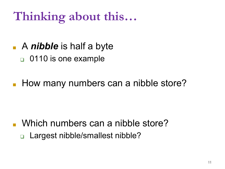# **Thinking about this…**

- A *nibble* is half a byte
	- ❑ 0110 is one example
- How many numbers can a nibble store?

■ Which numbers can a nibble store? ❑ Largest nibble/smallest nibble?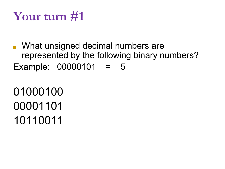#### **Your turn #1**

■ What unsigned decimal numbers are represented by the following binary numbers? Example: 00000101 = 5

01000100 00001101 10110011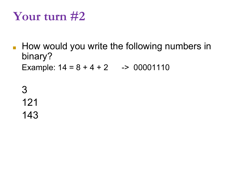#### **Your turn #2**

■ How would you write the following numbers in binary? Example:  $14 = 8 + 4 + 2$  -> 00001110

3 121 143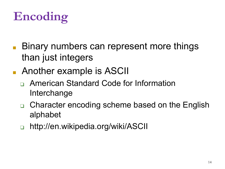# **Encoding**

- Binary numbers can represent more things than just integers
- Another example is ASCII
	- ❑ American Standard Code for Information Interchange
	- ❑ Character encoding scheme based on the English alphabet
	- http://en.wikipedia.org/wiki/ASCII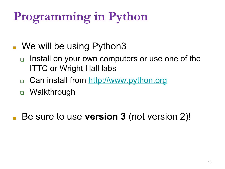# **Programming in Python**

#### ■ We will be using Python3

- Install on your own computers or use one of the ITTC or Wright Hall labs
- □ Can install from http://www.python.org
- ❑ Walkthrough

Be sure to use **version 3** (not version 2)!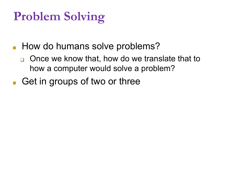# **Problem Solving**

- How do humans solve problems?
	- ❑ Once we know that, how do we translate that to how a computer would solve a problem?
- Get in groups of two or three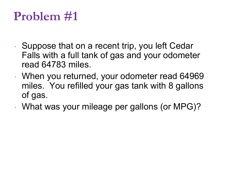### **Problem #1**

- <sup>∙</sup> Suppose that on a recent trip, you left Cedar Falls with a full tank of gas and your odometer read 64783 miles.
- <sup>∙</sup> When you returned, your odometer read 64969 miles. You refilled your gas tank with 8 gallons of gas.
- <sup>∙</sup> What was your mileage per gallons (or MPG)?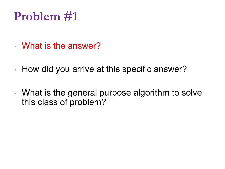### **Problem #1**

- <sup>∙</sup> What is the answer?
- <sup>∙</sup> How did you arrive at this specific answer?
- <sup>∙</sup> What is the general purpose algorithm to solve this class of problem?